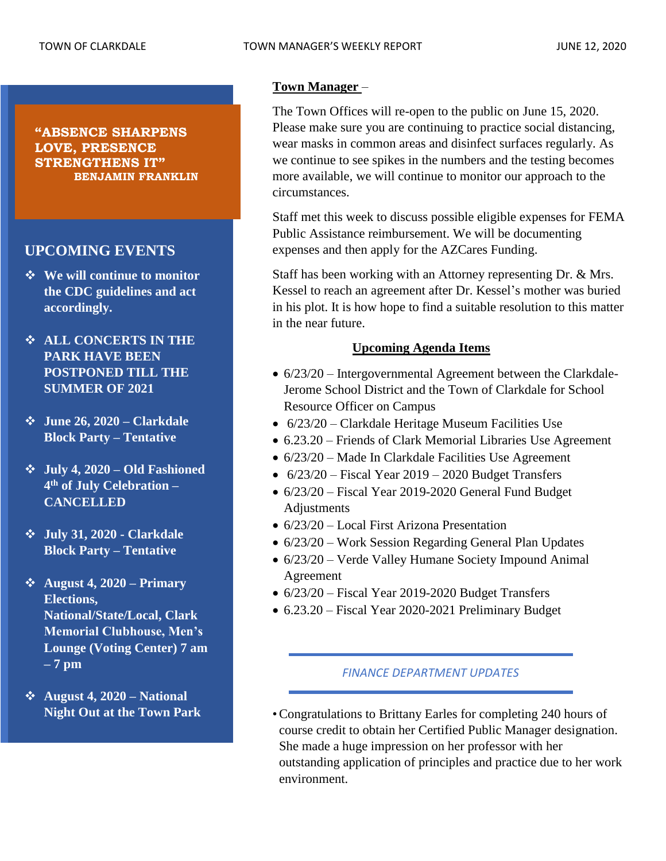**"ABSENCE SHARPENS LOVE, PRESENCE STRENGTHENS IT" BENJAMIN FRANKLIN**

# **UPCOMING EVENTS**

- ❖ **We will continue to monitor the CDC guidelines and act accordingly.**
- ❖ **ALL CONCERTS IN THE PARK HAVE BEEN POSTPONED TILL THE SUMMER OF 2021**
- ❖ **June 26, 2020 – Clarkdale Block Party – Tentative**
- ❖ **July 4, 2020 – Old Fashioned 4 th of July Celebration – CANCELLED**
- ❖ **July 31, 2020 - Clarkdale Block Party – Tentative**
- ❖ **August 4, 2020 – Primary Elections, National/State/Local, Clark Memorial Clubhouse, Men's Lounge (Voting Center) 7 am – 7 pm**
- ❖ **August 4, 2020 – National Night Out at the Town Park**

# **Town Manager** –

The Town Offices will re-open to the public on June 15, 2020. Please make sure you are continuing to practice social distancing, wear masks in common areas and disinfect surfaces regularly. As we continue to see spikes in the numbers and the testing becomes more available, we will continue to monitor our approach to the circumstances.

Staff met this week to discuss possible eligible expenses for FEMA Public Assistance reimbursement. We will be documenting expenses and then apply for the AZCares Funding.

Staff has been working with an Attorney representing Dr. & Mrs. Kessel to reach an agreement after Dr. Kessel's mother was buried in his plot. It is how hope to find a suitable resolution to this matter in the near future.

# **Upcoming Agenda Items**

- 6/23/20 Intergovernmental Agreement between the Clarkdale-Jerome School District and the Town of Clarkdale for School Resource Officer on Campus
- 6/23/20 Clarkdale Heritage Museum Facilities Use
- 6.23.20 Friends of Clark Memorial Libraries Use Agreement
- 6/23/20 Made In Clarkdale Facilities Use Agreement
- $6/23/20$  Fiscal Year 2019 2020 Budget Transfers
- 6/23/20 Fiscal Year 2019-2020 General Fund Budget Adjustments
- $6/23/20$  Local First Arizona Presentation
- $6/23/20$  Work Session Regarding General Plan Updates
- 6/23/20 Verde Valley Humane Society Impound Animal Agreement
- 6/23/20 Fiscal Year 2019-2020 Budget Transfers
- 6.23.20 Fiscal Year 2020-2021 Preliminary Budget

### *FINANCE DEPARTMENT UPDATES*

•Congratulations to Brittany Earles for completing 240 hours of course credit to obtain her Certified Public Manager designation. She made a huge impression on her professor with her outstanding application of principles and practice due to her work environment.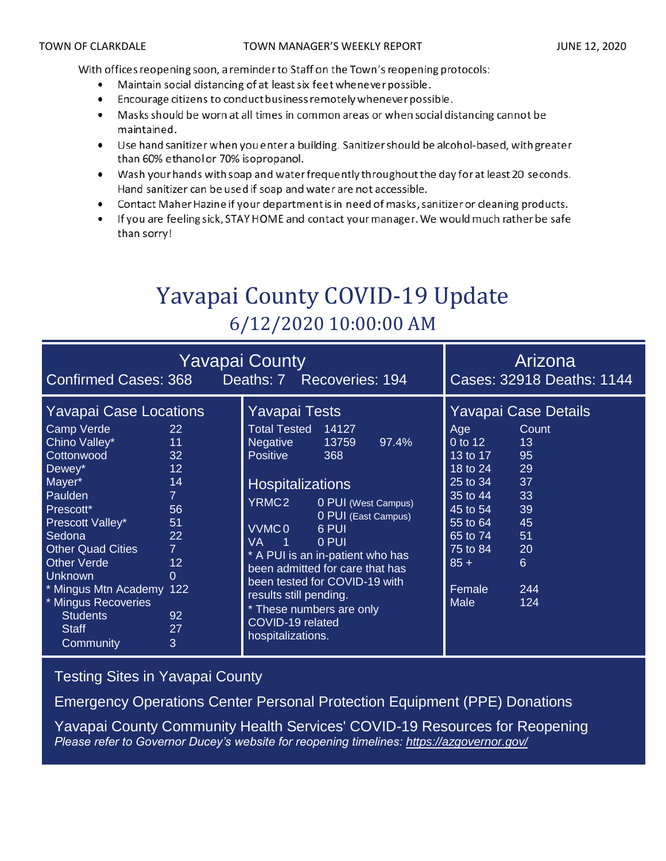With offices reopening soon, a reminder to Staff on the Town's reopening protocols:

- Maintain social distancing of at least six feet whenever possible.
- Encourage citizens to conduct business remotely whenever possible.  $\bullet$
- Masks should be worn at all times in common areas or when social distancing cannot be  $\bullet$ maintained.
- Use hand sanitizer when you enter a building. Sanitizer should be alcohol-based, with greater than 60% ethanol or 70% isopropanol.
- Wash your hands with soap and water frequently throughout the day for at least 20 seconds. Hand sanitizer can be used if soap and water are not accessible.
- Contact Maher Hazine if your department is in need of masks, sanitizer or cleaning products.
- If you are feeling sick, STAY HOME and contact your manager. We would much rather be safe than sorry!

# Yavapai County COVID-19 Update 6/12/2020 10:00:00 AM

| <b>Yavapai County</b><br>Deaths: 7 Recoveries: 194<br><b>Confirmed Cases: 368</b>                                                                                                                                                                                                                                           |                                                                                                            |                                                                                                                                                                                                                                                                                                                                                                                                                                                                  | Arizona<br>Cases: 32918 Deaths: 1144                                                                                                                                                                                                                                                                     |
|-----------------------------------------------------------------------------------------------------------------------------------------------------------------------------------------------------------------------------------------------------------------------------------------------------------------------------|------------------------------------------------------------------------------------------------------------|------------------------------------------------------------------------------------------------------------------------------------------------------------------------------------------------------------------------------------------------------------------------------------------------------------------------------------------------------------------------------------------------------------------------------------------------------------------|----------------------------------------------------------------------------------------------------------------------------------------------------------------------------------------------------------------------------------------------------------------------------------------------------------|
| <b>Yavapai Case Locations</b><br>Camp Verde<br>Chino Valley*<br>Cottonwood<br>Dewey*<br>Mayer*<br>Paulden<br>Prescott*<br>Prescott Valley*<br>Sedona<br><b>Other Quad Cities</b><br><b>Other Verde</b><br><b>Unknown</b><br>* Mingus Mtn Academy 122<br>* Mingus Recoveries<br><b>Students</b><br><b>Staff</b><br>Community | 22<br>11<br>32<br>12<br>14<br>$\mathbf{7}$<br>56<br>51<br>22<br>$\overline{7}$<br>12<br>0<br>92<br>27<br>3 | <b>Yavapai Tests</b><br><b>Total Tested</b><br>14127<br>Negative<br>13759<br>97.4%<br><b>Positive</b><br>368<br><b>Hospitalizations</b><br>YRMC2<br>0 PUI (West Campus)<br>0 PUI (East Campus)<br>VVMC <sub>0</sub><br>6 PUI<br><b>VA</b><br>0 PUI<br>- 1<br>* A PUI is an in-patient who has<br>been admitted for care that has<br>been tested for COVID-19 with<br>results still pending.<br>* These numbers are only<br>COVID-19 related<br>hospitalizations. | Yavapai Case Details<br>Count<br>Age<br>0 to $\overline{12}$<br>13<br>$13 \text{ to } 17$<br>95<br>18 to 24<br>29<br>$\overline{25}$ to $\overline{34}$<br>37<br>$35$ to 44<br>33<br>45 to 54<br>39<br>45<br>55 to 64<br>65 to 74<br>51<br>75 to 84<br>20<br>$85 +$<br>6<br>Female<br>244<br>Male<br>124 |

[Testing Sites in Yavapai County](https://www.yavapai.us/Portals/39/COVID-19/TestingSitesinYavapaiCounty.pdf)

[Emergency Operations Center Personal Protection Equipment \(PPE\) Donations](http://www.yavapai.us/Portals/39/PPE%20Donations.pdf)

[Yavapai County Community Health Services' COVID-19 Resources for Reopening](https://www.yavapai.us/chs/COVID-19) *Please refer to Governor Ducey's website for reopening timelines: <https://azgovernor.gov/>*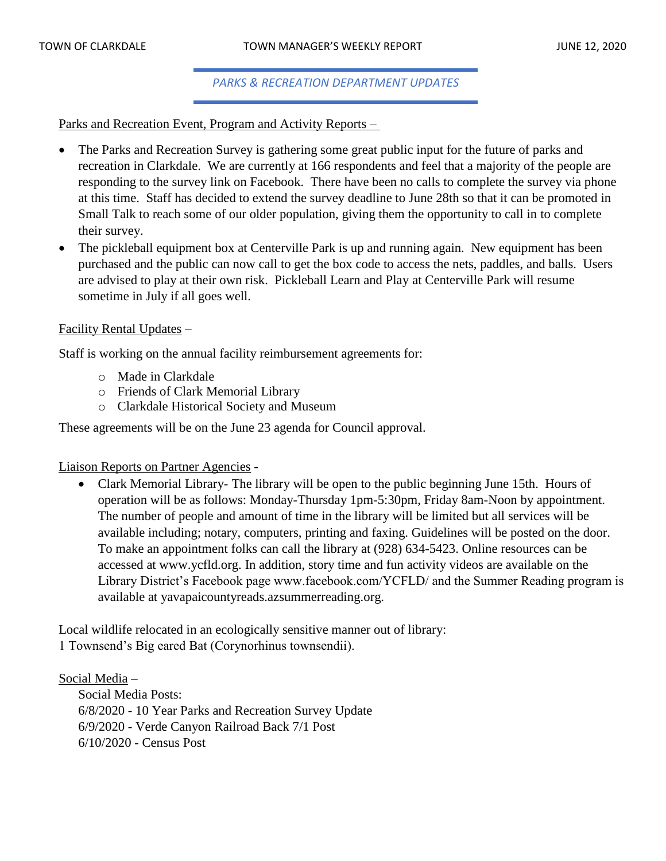### *PARKS & RECREATION DEPARTMENT UPDATES*

Parks and Recreation Event, Program and Activity Reports –

- The Parks and Recreation Survey is gathering some great public input for the future of parks and recreation in Clarkdale. We are currently at 166 respondents and feel that a majority of the people are responding to the survey link on Facebook. There have been no calls to complete the survey via phone at this time. Staff has decided to extend the survey deadline to June 28th so that it can be promoted in Small Talk to reach some of our older population, giving them the opportunity to call in to complete their survey.
- The pickleball equipment box at Centerville Park is up and running again. New equipment has been purchased and the public can now call to get the box code to access the nets, paddles, and balls. Users are advised to play at their own risk. Pickleball Learn and Play at Centerville Park will resume sometime in July if all goes well.

### Facility Rental Updates –

Staff is working on the annual facility reimbursement agreements for:

- o Made in Clarkdale
- o Friends of Clark Memorial Library
- o Clarkdale Historical Society and Museum

These agreements will be on the June 23 agenda for Council approval.

Liaison Reports on Partner Agencies -

• Clark Memorial Library- The library will be open to the public beginning June 15th. Hours of operation will be as follows: Monday-Thursday 1pm-5:30pm, Friday 8am-Noon by appointment. The number of people and amount of time in the library will be limited but all services will be available including; notary, computers, printing and faxing. Guidelines will be posted on the door. To make an appointment folks can call the library at (928) 634-5423. Online resources can be accessed at www.ycfld.org. In addition, story time and fun activity videos are available on the Library District's Facebook page www.facebook.com/YCFLD/ and the Summer Reading program is available at yavapaicountyreads.azsummerreading.org.

Local wildlife relocated in an ecologically sensitive manner out of library: 1 Townsend's Big eared Bat (Corynorhinus townsendii).

Social Media –

Social Media Posts: 6/8/2020 - 10 Year Parks and Recreation Survey Update 6/9/2020 - Verde Canyon Railroad Back 7/1 Post 6/10/2020 - Census Post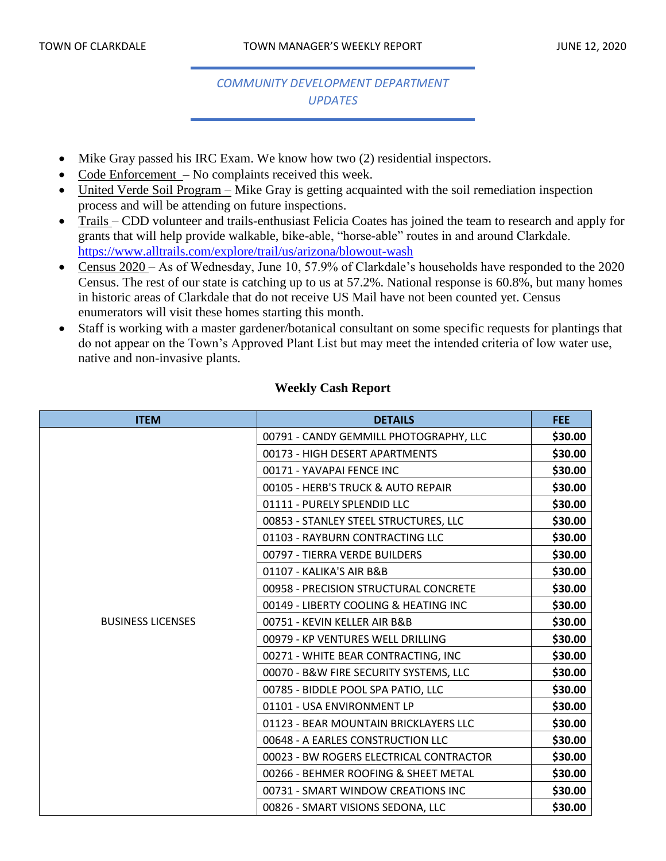# *COMMUNITY DEVELOPMENT DEPARTMENT UPDATES*

- Mike Gray passed his IRC Exam. We know how two (2) residential inspectors.
- Code Enforcement No complaints received this week.
- United Verde Soil Program Mike Gray is getting acquainted with the soil remediation inspection process and will be attending on future inspections.
- Trails CDD volunteer and trails-enthusiast Felicia Coates has joined the team to research and apply for grants that will help provide walkable, bike-able, "horse-able" routes in and around Clarkdale. <https://www.alltrails.com/explore/trail/us/arizona/blowout-wash>
- Census 2020 As of Wednesday, June 10, 57.9% of Clarkdale's households have responded to the 2020 Census. The rest of our state is catching up to us at 57.2%. National response is 60.8%, but many homes in historic areas of Clarkdale that do not receive US Mail have not been counted yet. Census enumerators will visit these homes starting this month.
- Staff is working with a master gardener/botanical consultant on some specific requests for plantings that do not appear on the Town's Approved Plant List but may meet the intended criteria of low water use, native and non-invasive plants.

| <b>ITEM</b>              | <b>DETAILS</b>                          | <b>FEE</b> |
|--------------------------|-----------------------------------------|------------|
|                          | 00791 - CANDY GEMMILL PHOTOGRAPHY, LLC  | \$30.00    |
|                          | 00173 - HIGH DESERT APARTMENTS          | \$30.00    |
|                          | 00171 - YAVAPAI FENCE INC               | \$30.00    |
|                          | 00105 - HERB'S TRUCK & AUTO REPAIR      | \$30.00    |
|                          | 01111 - PURELY SPLENDID LLC             | \$30.00    |
|                          | 00853 - STANLEY STEEL STRUCTURES, LLC   | \$30.00    |
|                          | 01103 - RAYBURN CONTRACTING LLC         | \$30.00    |
|                          | 00797 - TIERRA VERDE BUILDERS           | \$30.00    |
|                          | 01107 - KALIKA'S AIR B&B                | \$30.00    |
|                          | 00958 - PRECISION STRUCTURAL CONCRETE   | \$30.00    |
|                          | 00149 - LIBERTY COOLING & HEATING INC   | \$30.00    |
| <b>BUSINESS LICENSES</b> | 00751 - KEVIN KELLER AIR B&B            | \$30.00    |
|                          | 00979 - KP VENTURES WELL DRILLING       | \$30.00    |
|                          | 00271 - WHITE BEAR CONTRACTING, INC     | \$30.00    |
|                          | 00070 - B&W FIRE SECURITY SYSTEMS, LLC  | \$30.00    |
|                          | 00785 - BIDDLE POOL SPA PATIO, LLC      | \$30.00    |
|                          | 01101 - USA ENVIRONMENT LP              | \$30.00    |
|                          | 01123 - BEAR MOUNTAIN BRICKLAYERS LLC   | \$30.00    |
|                          | 00648 - A EARLES CONSTRUCTION LLC       | \$30.00    |
|                          | 00023 - BW ROGERS ELECTRICAL CONTRACTOR | \$30.00    |
|                          | 00266 - BEHMER ROOFING & SHEET METAL    | \$30.00    |
|                          | 00731 - SMART WINDOW CREATIONS INC      | \$30.00    |
|                          | 00826 - SMART VISIONS SEDONA, LLC       | \$30.00    |

### **Weekly Cash Report**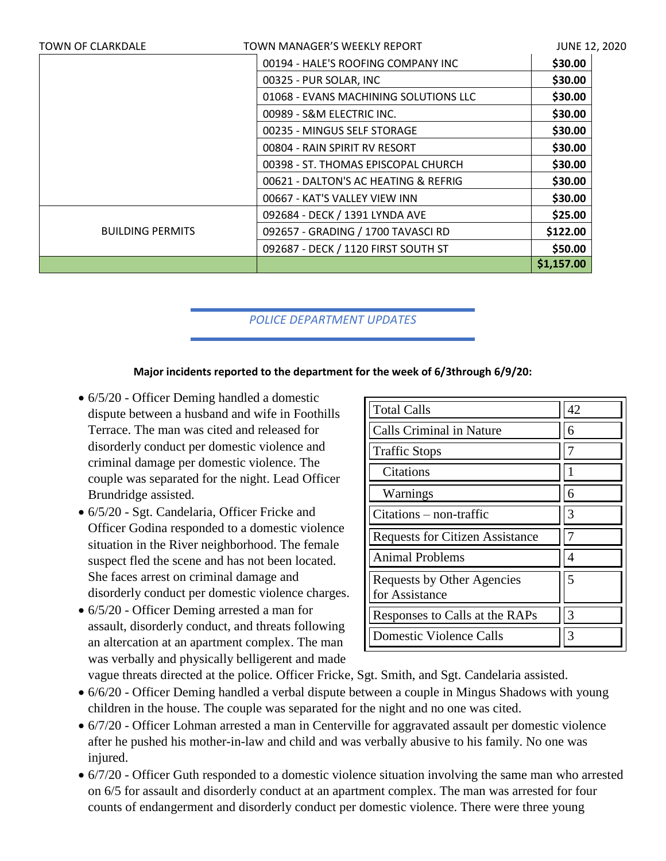| <b>TOWN OF CLARKDALE</b> | TOWN MANAGER'S WEEKLY REPORT          | <b>JUNE 12, 2020</b> |
|--------------------------|---------------------------------------|----------------------|
|                          | 00194 - HALE'S ROOFING COMPANY INC    | \$30.00              |
|                          | 00325 - PUR SOLAR, INC                | \$30.00              |
|                          | 01068 - EVANS MACHINING SOLUTIONS LLC | \$30.00              |
|                          | 00989 - S&M ELECTRIC INC.             | \$30.00              |
|                          | 00235 - MINGUS SELF STORAGE           | \$30.00              |
|                          | 00804 - RAIN SPIRIT RV RESORT         | \$30.00              |
|                          | 00398 - ST. THOMAS EPISCOPAL CHURCH   | \$30.00              |
|                          | 00621 - DALTON'S AC HEATING & REFRIG  | \$30.00              |
|                          | 00667 - KAT'S VALLEY VIEW INN         | \$30.00              |
|                          | 092684 - DECK / 1391 LYNDA AVE        | \$25.00              |
| <b>BUILDING PERMITS</b>  | 092657 - GRADING / 1700 TAVASCI RD    | \$122.00             |
|                          | 092687 - DECK / 1120 FIRST SOUTH ST   | \$50.00              |
|                          |                                       | \$1,157.00           |

*POLICE DEPARTMENT UPDATES*

### **Major incidents reported to the department for the week of 6/3through 6/9/20:**

- 6/5/20 Officer Deming handled a domestic dispute between a husband and wife in Foothills Terrace. The man was cited and released for disorderly conduct per domestic violence and criminal damage per domestic violence. The couple was separated for the night. Lead Officer Brundridge assisted.
- 6/5/20 Sgt. Candelaria, Officer Fricke and Officer Godina responded to a domestic violence situation in the River neighborhood. The female suspect fled the scene and has not been located. She faces arrest on criminal damage and disorderly conduct per domestic violence charges.
- 6/5/20 Officer Deming arrested a man for assault, disorderly conduct, and threats following an altercation at an apartment complex. The man was verbally and physically belligerent and made

| <b>Total Calls</b>                           | 42 |
|----------------------------------------------|----|
| <b>Calls Criminal in Nature</b>              | 6  |
| <b>Traffic Stops</b>                         |    |
| Citations                                    |    |
| Warnings                                     | 6  |
| $Citations - non-traffic$                    | 3  |
| <b>Requests for Citizen Assistance</b>       |    |
| <b>Animal Problems</b>                       | 4  |
| Requests by Other Agencies<br>for Assistance | 5  |
| Responses to Calls at the RAPs               | 3  |
| <b>Domestic Violence Calls</b>               | 3  |

vague threats directed at the police. Officer Fricke, Sgt. Smith, and Sgt. Candelaria assisted.

- 6/6/20 Officer Deming handled a verbal dispute between a couple in Mingus Shadows with young children in the house. The couple was separated for the night and no one was cited.
- 6/7/20 Officer Lohman arrested a man in Centerville for aggravated assault per domestic violence after he pushed his mother-in-law and child and was verbally abusive to his family. No one was injured.
- 6/7/20 Officer Guth responded to a domestic violence situation involving the same man who arrested on 6/5 for assault and disorderly conduct at an apartment complex. The man was arrested for four counts of endangerment and disorderly conduct per domestic violence. There were three young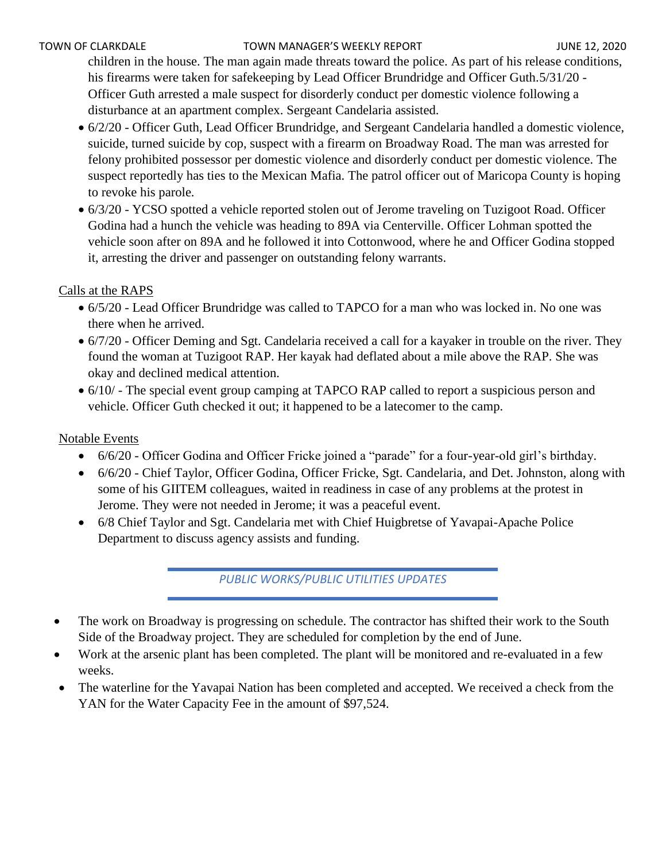#### TOWN OF CLARKDALE TOWN MANAGER'S WEEKLY REPORT TOWN OF CLARKDALE

children in the house. The man again made threats toward the police. As part of his release conditions, his firearms were taken for safekeeping by Lead Officer Brundridge and Officer Guth.5/31/20 -Officer Guth arrested a male suspect for disorderly conduct per domestic violence following a disturbance at an apartment complex. Sergeant Candelaria assisted.

- 6/2/20 Officer Guth, Lead Officer Brundridge, and Sergeant Candelaria handled a domestic violence, suicide, turned suicide by cop, suspect with a firearm on Broadway Road. The man was arrested for felony prohibited possessor per domestic violence and disorderly conduct per domestic violence. The suspect reportedly has ties to the Mexican Mafia. The patrol officer out of Maricopa County is hoping to revoke his parole.
- 6/3/20 YCSO spotted a vehicle reported stolen out of Jerome traveling on Tuzigoot Road. Officer Godina had a hunch the vehicle was heading to 89A via Centerville. Officer Lohman spotted the vehicle soon after on 89A and he followed it into Cottonwood, where he and Officer Godina stopped it, arresting the driver and passenger on outstanding felony warrants.

# Calls at the RAPS

- 6/5/20 Lead Officer Brundridge was called to TAPCO for a man who was locked in. No one was there when he arrived.
- 6/7/20 Officer Deming and Sgt. Candelaria received a call for a kayaker in trouble on the river. They found the woman at Tuzigoot RAP. Her kayak had deflated about a mile above the RAP. She was okay and declined medical attention.
- 6/10/ The special event group camping at TAPCO RAP called to report a suspicious person and vehicle. Officer Guth checked it out; it happened to be a latecomer to the camp.

# Notable Events

- 6/6/20 Officer Godina and Officer Fricke joined a "parade" for a four-year-old girl's birthday.
- 6/6/20 Chief Taylor, Officer Godina, Officer Fricke, Sgt. Candelaria, and Det. Johnston, along with some of his GIITEM colleagues, waited in readiness in case of any problems at the protest in Jerome. They were not needed in Jerome; it was a peaceful event.
- 6/8 Chief Taylor and Sgt. Candelaria met with Chief Huigbretse of Yavapai-Apache Police Department to discuss agency assists and funding.

*PUBLIC WORKS/PUBLIC UTILITIES UPDATES*

- The work on Broadway is progressing on schedule. The contractor has shifted their work to the South Side of the Broadway project. They are scheduled for completion by the end of June.
- Work at the arsenic plant has been completed. The plant will be monitored and re-evaluated in a few weeks.
- The waterline for the Yavapai Nation has been completed and accepted. We received a check from the YAN for the Water Capacity Fee in the amount of \$97,524.